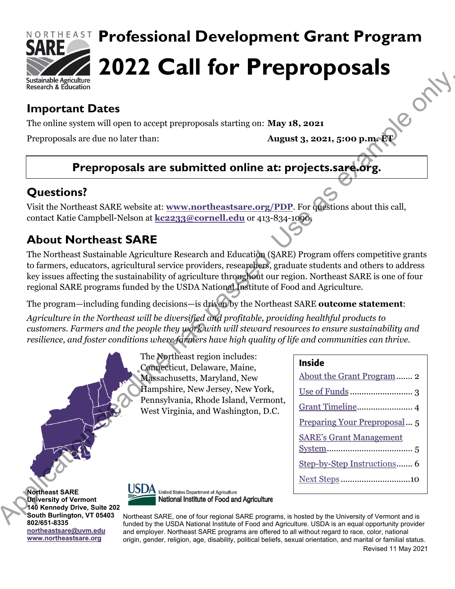

# **Professional Development Grant Program 2022 Call for Preproposals**

# **Important Dates**

The online system will open to accept preproposals starting on: **May 18, 2021**

Preproposals are due no later than: **August 3, 2021, 5:00 p.m. ET**

# **Preproposals are submitted online at: projects.sare.org.**

# **Questions?**

Visit the Northeast SARE website at: **www.northeastsare.org/PDP**. For questions about this call, contact Katie Campbell-Nelson at **kc2233@cornell.edu** or 413-834-1090.

# **About Northeast SARE**

The Northeast Sustainable Agriculture Research and Education (SARE) Program offers competitive grants to farmers, educators, agricultural service providers, researchers, graduate students and others to address key issues affecting the sustainability of agriculture throughout our region. Northeast SARE is one of four regional SARE programs funded by the USDA National Institute of Food and Agriculture. **Example for the system and the proper state of the system and the system of the system of the system of the system of the system of the system of the system of the system of the system of the system of the control of the** 

The program—including funding decisions—is driven by the Northeast SARE **outcome statement**:

*Agriculture in the Northeast will be diversified and profitable, providing healthful products to customers. Farmers and the people they work with will steward resources to ensure sustainability and resilience, and foster conditions where farmers have high quality of life and communities can thrive.*

> The Northeast region includes: Connecticut, Delaware, Maine, Massachusetts, Maryland, New Hampshire, New Jersey, New York, Pennsylvania, Rhode Island, Vermont, West Virginia, and Washington, D.C.

#### Inside

| Grant Timeline 4               |
|--------------------------------|
| Preparing Your Preproposal 5   |
| <b>SARE's Grant Management</b> |
| Step-by-Step Instructions 6    |
| Next Steps10                   |
|                                |

**Northeast SARE University of Vermont 140 Kennedy Drive, Suite 202 South Burlington, VT 05403 802/651-8335 [northeastsare@uvm.edu](mailto:northeastsare@uvm.edu) [www.northeastsare.org](http://www.northeastsare.org/)**



Northeast SARE, one of four regional SARE programs, is hosted by the University of Vermont and is funded by the USDA National Institute of Food and Agriculture. USDA is an equal opportunity provider and employer. Northeast SARE programs are offered to all without regard to race, color, national origin, gender, religion, age, disability, political beliefs, sexual orientation, and marital or familial status. Revised 11 May 2021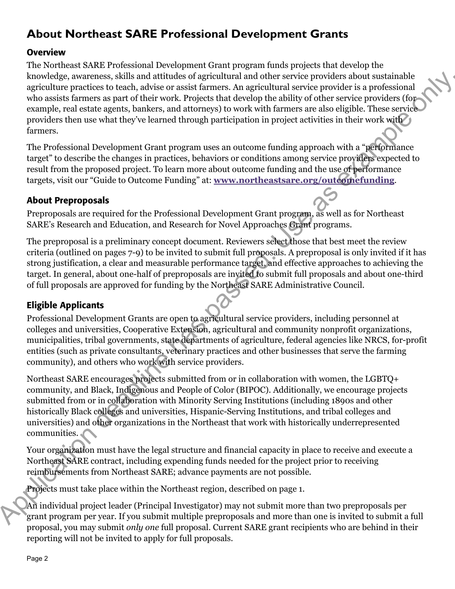# <span id="page-1-0"></span>**About Northeast SARE Professional Development Grants**

#### **Overview**

The Northeast SARE Professional Development Grant program funds projects that develop the knowledge, awareness, skills and attitudes of agricultural and other service providers about sustainable agriculture practices to teach, advise or assist farmers. An agricultural service provider is a professional who assists farmers as part of their work. Projects that develop the ability of other service providers (for example, real estate agents, bankers, and attorneys) to work with farmers are also eligible. These service providers then use what they've learned through participation in project activities in their work with farmers.

The Professional Development Grant program uses an outcome funding approach with a "performance target" to describe the changes in practices, behaviors or conditions among service providers expected to result from the proposed project. To learn more about outcome funding and the use of performance targets, visit our "Guide to Outcome Funding" at: **www.northeastsare.org/outcomefunding**.

#### About Preproposals

Preproposals are required for the Professional Development Grant program, as well as for Northeast SARE's Research and Education, and Research for Novel Approaches Grant programs.

The preproposal is a preliminary concept document. Reviewers select those that best meet the review criteria (outlined on pages 7-9) to be invited to submit full proposals. A preproposal is only invited if it has strong justification, a clear and measurable performance target, and effective approaches to achieving the target. In general, about one-half of preproposals are invited to submit full proposals and about one-third of full proposals are approved for funding by the Northeast SARE Administrative Council.

#### Eligible Applicants

Professional Development Grants are open to agricultural service providers, including personnel at colleges and universities, Cooperative Extension, agricultural and community nonprofit organizations, municipalities, tribal governments, state departments of agriculture, federal agencies like NRCS, for-profit entities (such as private consultants, veterinary practices and other businesses that serve the farming community), and others who work with service providers.

Northeast SARE encourages projects submitted from or in collaboration with women, the LGBTQ+ community, and Black, Indigenous and People of Color (BIPOC). Additionally, we encourage projects submitted from or in collaboration with Minority Serving Institutions (including 1890s and other historically Black colleges and universities, Hispanic-Serving Institutions, and tribal colleges and universities) and other organizations in the Northeast that work with historically underrepresented communities. knowledge, a<br>waveleness, shill and a thit data of a grientline is a consistent and<br>example, reaching the proposition of the system and the system of the<br>system consistent and the system of the distribution of the system o

Your organization must have the legal structure and financial capacity in place to receive and execute a Northeast SARE contract, including expending funds needed for the project prior to receiving reimbursements from Northeast SARE; advance payments are not possible.

Projects must take place within the Northeast region, described on page 1.

An individual project leader (Principal Investigator) may not submit more than two preproposals per grant program per year. If you submit multiple preproposals and more than one is invited to submit a full proposal, you may submit *only one* full proposal. Current SARE grant recipients who are behind in their reporting will not be invited to apply for full proposals.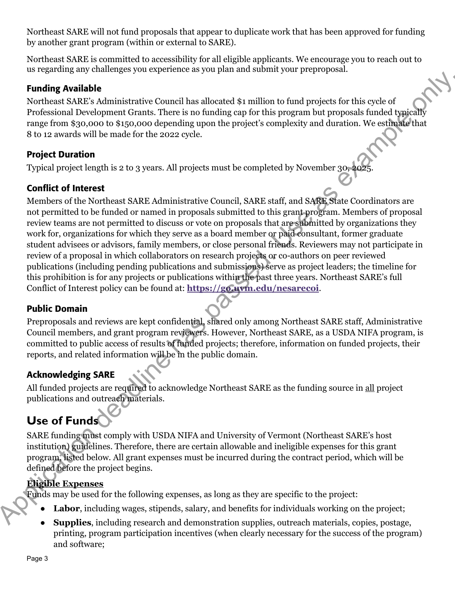Northeast SARE will not fund proposals that appear to duplicate work that has been approved for funding by another grant program (within or external to SARE).

Northeast SARE is committed to accessibility for all eligible applicants. We encourage you to reach out to us regarding any challenges you experience as you plan and submit your preproposal.

#### Funding Available

Northeast SARE's Administrative Council has allocated \$1 million to fund projects for this cycle of Professional Development Grants. There is no funding cap for this program but proposals funded typically range from \$30,000 to \$150,000 depending upon the project's complexity and duration. We estimate that 8 to 12 awards will be made for the 2022 cycle.

#### Project Duration

Typical project length is 2 to 3 years. All projects must be completed by November 30, 202

#### Conflict of Interest

Members of the Northeast SARE Administrative Council, SARE staff, and SARE State Coordinators are not permitted to be funded or named in proposals submitted to this grant program. Members of proposal review teams are not permitted to discuss or vote on proposals that are submitted by organizations they work for, organizations for which they serve as a board member or paid consultant, former graduate student advisees or advisors, family members, or close personal friends. Reviewers may not participate in review of a proposal in which collaborators on research projects or co-authors on peer reviewed publications (including pending publications and submissions) serve as project leaders; the timeline for this prohibition is for any projects or publications within the past three years. Northeast SARE's full Conflict of Interest policy can be found at: **https://go.uvm.edu/nesarecoi**. **Funding Available**<br> **Excellent at NHE-2** Administrative Council bas allocated \$1 million to fund projects for this cycle of<br> **Excellent at NHE-2** Application description (For the including cup for this program but propos

#### Public Domain

Preproposals and reviews are kept confidential, shared only among Northeast SARE staff, Administrative Council members, and grant program reviewers. However, Northeast SARE, as a USDA NIFA program, is committed to public access of results of funded projects; therefore, information on funded projects, their reports, and related information will be in the public domain.

#### Acknowledging SARE

All funded projects are required to acknowledge Northeast SARE as the funding source in all project publications and outreach materials.

# <span id="page-2-0"></span>**Use of Funds**

SARE funding must comply with USDA NIFA and University of Vermont (Northeast SARE's host institution) guidelines. Therefore, there are certain allowable and ineligible expenses for this grant program, listed below. All grant expenses must be incurred during the contract period, which will be defined before the project begins.

#### **Eligible Expenses**

Funds may be used for the following expenses, as long as they are specific to the project:

- **Labor**, including wages, stipends, salary, and benefits for individuals working on the project;
- **Supplies**, including research and demonstration supplies, outreach materials, copies, postage, printing, program participation incentives (when clearly necessary for the success of the program) and software;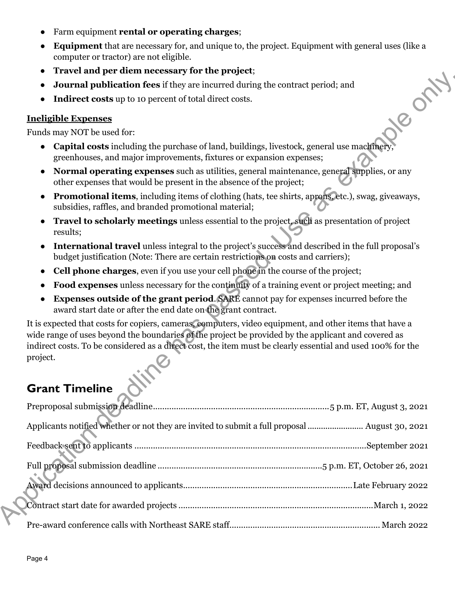- Farm equipment **rental or operating charges**;
- **Equipment** that are necessary for, and unique to, the project. Equipment with general uses (like a computer or tractor) are not eligible.
- **Travel and per diem necessary for the project**;
- **Journal publication fees** if they are incurred during the contract period; and
- **Indirect costs** up to 10 percent of total direct costs.

#### **Ineligible Expenses**

Funds may NOT be used for:

- **Capital costs** including the purchase of land, buildings, livestock, general use machinery greenhouses, and major improvements, fixtures or expansion expenses;
- **Normal operating expenses** such as utilities, general maintenance, general supplies, or any other expenses that would be present in the absence of the project;
- **Promotional items**, including items of clothing (hats, tee shirts, aprons, etc.), swag, giveaways, subsidies, raffles, and branded promotional material;
- **Travel to scholarly meetings** unless essential to the project, such as presentation of project results;
- **International travel** unless integral to the project's success and described in the full proposal's budget justification (Note: There are certain restrictions on costs and carriers);
- **Cell phone charges**, even if you use your cell phone in the course of the project;
- **Food expenses** unless necessary for the continuity of a training event or project meeting; and
- **Expenses outside of the grant period**. SARE cannot pay for expenses incurred before the award start date or after the end date on the grant contract.

It is expected that costs for copiers, cameras, computers, video equipment, and other items that have a wide range of uses beyond the boundaries of the project be provided by the applicant and covered as indirect costs. To be considered as a direct cost, the item must be clearly essential and used 100% for the project. dependent mecks and y on the poeter,<br>since as both the solid of the set as example on the set as the set as example on the set as example of the sets as example of the sets as example of the sets as example of the set of t

# <span id="page-3-0"></span>**Grant Timeline**

| Applicants notified whether or not they are invited to submit a full proposal  August 30, 2021 |
|------------------------------------------------------------------------------------------------|
|                                                                                                |
|                                                                                                |
|                                                                                                |
|                                                                                                |
|                                                                                                |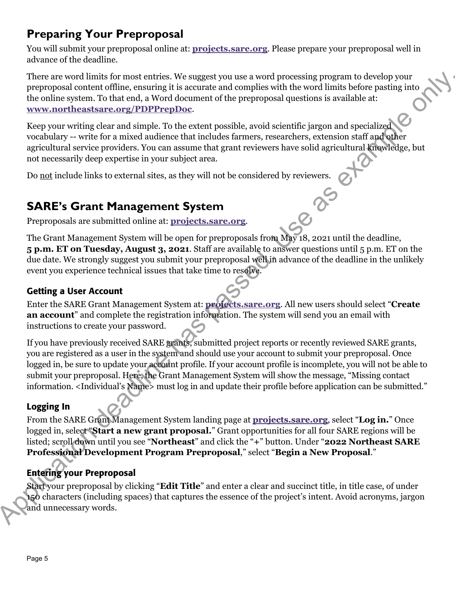# <span id="page-4-0"></span>**Preparing Your Preproposal**

You will submit your preproposal online at: **[projects.sare.org](https://projects.sare.org/)**. Please prepare your preproposal well in advance of the deadline.

There are word limits for most entries. We suggest you use a word processing program to develop your preproposal content offline, ensuring it is accurate and complies with the word limits before pasting into the online system. To that end, a Word document of the preproposal questions is available at: **www.northeastsare.org/PDPPrepDoc**.

Keep your writing clear and simple. To the extent possible, avoid scientific jargon and specialized vocabulary -- write for a mixed audience that includes farmers, researchers, extension staff and other agricultural service providers. You can assume that grant reviewers have solid agricultural knowledge, but not necessarily deep expertise in your subject area.

Do not include links to external sites, as they will not be considered by reviewers.

# <span id="page-4-1"></span>**SARE's Grant Management System**

Preproposals are submitted online at: **projects.sare.org**.

The Grant Management System will be open for preproposals from May 18, 2021 until the deadline, **5 p.m. ET on Tuesday, August 3, 2021**. Staff are available to answer questions until 5 p.m. ET on the due date. We strongly suggest you submit your preproposal well in advance of the deadline in the unlikely event you experience technical issues that take time to resolve.

#### Getting a User Account

Enter the SARE Grant Management System at: **projects.sare.org**. All new users should select "**Create an account**" and complete the registration information. The system will send you an email with instructions to create your password.

If you have previously received SARE grants, submitted project reports or recently reviewed SARE grants, you are registered as a user in the system and should use your account to submit your preproposal. Once logged in, be sure to update your account profile. If your account profile is incomplete, you will not be able to submit your preproposal. Here, the Grant Management System will show the message, "Missing contact information. <Individual's Name> must log in and update their profile before application can be submitted." These are word thin the model entires. We angeged you take a word process proporous contents where you write the main a to denote the proporous content of the proporous content of the proporous [pas](https://projects.sare.org/)sed in the two model in

#### Logging In

From the SARE Grant Management System landing page at **projects.sare.org**, select "**Log in.**" Once logged in, select "**Start a new grant proposal.**" Grant opportunities for all four SARE regions will be listed; scroll down until you see "**Northeast**" and click the "**+**" button. Under "**2022 Northeast SARE Professional Development Program Preproposal**," select "**Begin a New Proposal**."

### Entering your Preproposal

Start your preproposal by clicking "**Edit Title**" and enter a clear and succinct title, in title case, of under 150 characters (including spaces) that captures the essence of the project's intent. Avoid acronyms, jargon and unnecessary words.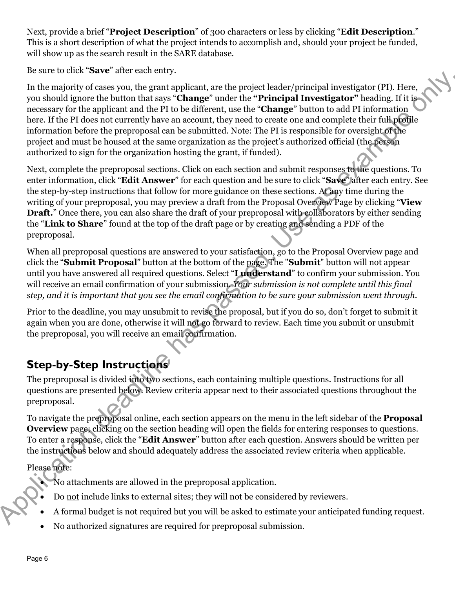Next, provide a brief "**Project Description**" of 300 characters or less by clicking "**Edit Description**." This is a short description of what the project intends to accomplish and, should your project be funded, will show up as the search result in the SARE database.

Be sure to click "**Save**" after each entry.

In the majority of cases you, the grant applicant, are the project leader/principal investigator (PI). Here, you should ignore the button that says "**Change**" under the **"Principal Investigator"** heading. If it is necessary for the applicant and the PI to be different, use the "**Change**" button to add PI information here. If the PI does not currently have an account, they need to create one and complete their full profile information before the preproposal can be submitted. Note: The PI is responsible for oversight of the project and must be housed at the same organization as the project's authorized official (the person authorized to sign for the organization hosting the grant, if funded).

Next, complete the preproposal sections. Click on each section and submit responses to the questions. To enter information, click "**Edit Answer**" for each question and be sure to click "**Save**" after each entry. See the step-by-step instructions that follow for more guidance on these sections. At any time during the writing of your preproposal, you may preview a draft from the Proposal Overview Page by clicking "**View Draft.**" Once there, you can also share the draft of your preproposal with collaborators by either sending the "**Link to Share**" found at the top of the draft page or by creating and sending a PDF of the preproposal. since can canceler that a specifical investigation (PI). Here, where one can can controll in the passe you, the grant applicant, are the "**Change"** but can the "**Change"** but the "Change" but the "Change" but the "Change"

When all preproposal questions are answered to your satisfaction, go to the Proposal Overview page and click the "**Submit Proposal**" button at the bottom of the page. The "**Submit**" button will not appear until you have answered all required questions. Select "**I understand**" to confirm your submission. You will receive an email confirmation of your submission. *Your submission is not complete until this final step, and it is important that you see the email confirmation to be sure your submission went through.*

Prior to the deadline, you may unsubmit to revise the proposal, but if you do so, don't forget to submit it again when you are done, otherwise it will not go forward to review. Each time you submit or unsubmit the preproposal, you will receive an email confirmation.

# <span id="page-5-0"></span>**Step-by-Step Instructions**

The preproposal is divided into two sections, each containing multiple questions. Instructions for all questions are presented below. Review criteria appear next to their associated questions throughout the preproposal.

To navigate the preproposal online, each section appears on the menu in the left sidebar of the **Proposal Overview** page; clicking on the section heading will open the fields for entering responses to questions. To enter a response, click the "**Edit Answer**" button after each question. Answers should be written per the instructions below and should adequately address the associated review criteria when applicable. Overview page; clic:<br>
To enter a response,<br>
the instructions below<br>
Please note:<br>
No attachmen<br>
Do <u>not</u> include<br>
A formal budg

Please note:

- No attachments are allowed in the preproposal application.
- Do not include links to external sites; they will not be considered by reviewers.
- A formal budget is not required but you will be asked to estimate your anticipated funding request.
- No authorized signatures are required for preproposal submission.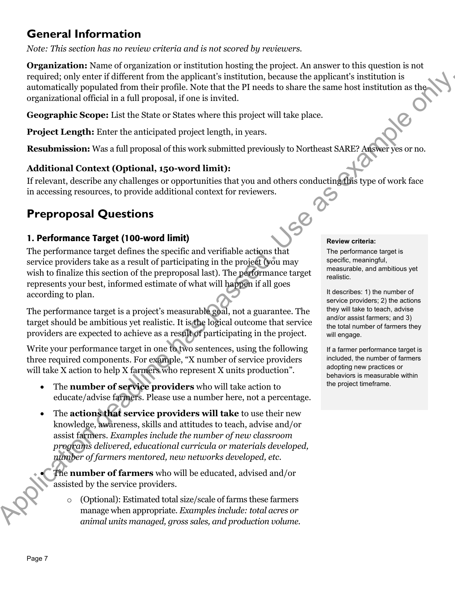# **General Information**

*Note: This section has no review criteria and is not scored by reviewers.* 

**Organization:** Name of organization or institution hosting the project. An answer to this question is not required; only enter if different from the applicant's institution, because the applicant's institution is automatically populated from their profile. Note that the PI needs to share the same host institution as the organizational official in a full proposal, if one is invited.

**Geographic Scope:** List the State or States where this project will take place.

**Project Length:** Enter the anticipated project length, in years.

**Resubmission:** Was a full proposal of this work submitted previously to Northeast SARE? Answer yes or no.

#### **Additional Context (Optional, 150-word limit):**

If relevant, describe any challenges or opportunities that you and others conducting this type of work face in accessing resources, to provide additional context for reviewers.

# **Preproposal Questions**

#### 1. Performance Target (100-word limit)

The performance target defines the specific and verifiable actions that service providers take as a result of participating in the project (you may wish to finalize this section of the preproposal last). The performance target represents your best, informed estimate of what will happen if all goes according to plan. required, by entire if if the restricted in a full proposition of the action of the third in the state of the state of the state of the state of the state of the state of the state of the state of the state of the state o

The performance target is a project's measurable goal, not a guarantee. The target should be ambitious yet realistic. It is the logical outcome that service providers are expected to achieve as a result of participating in the project.

Write your performance target in one to two sentences, using the following three required components. For example, "X number of service providers will take X action to help X farmers who represent X units production".

- The **number of service providers** who will take action to educate/advise farmers. Please use a number here, not a percentage.
- The **actions that service providers will take** to use their new knowledge, awareness, skills and attitudes to teach, advise and/or assist farmers. *Examples include the number of new classroom programs delivered, educational curricula or materials developed, number of farmers mentored, new networks developed, etc.*

• The **number of farmers** who will be educated, advised and/or assisted by the service providers.

o (Optional): Estimated total size/scale of farms these farmers manage when appropriate. *Examples include: total acres or animal units managed, gross sales, and production volume.*

#### **Review criteria:**

The performance target is specific, meaningful, measurable, and ambitious yet realistic.

It describes: 1) the number of service providers; 2) the actions they will take to teach, advise and/or assist farmers; and 3) the total number of farmers they will engage.

If a farmer performance target is included, the number of farmers adopting new practices or behaviors is measurable within the project timeframe.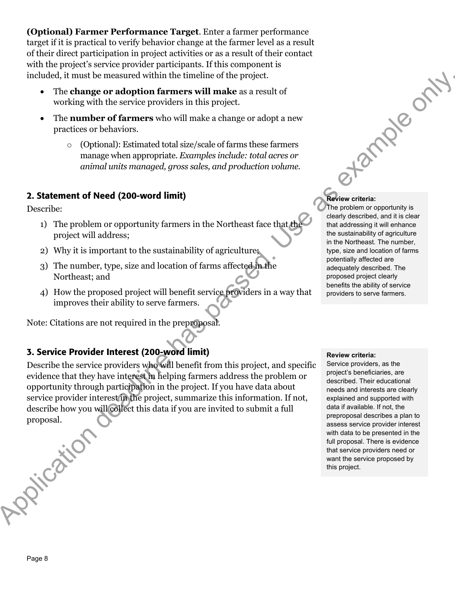**(Optional) Farmer Performance Target**. Enter a farmer performance target if it is practical to verify behavior change at the farmer level as a result of their direct participation in project activities or as a result of their contact with the project's service provider participants. If this component is included, it must be measured within the timeline of the project.

- The **change or adoption farmers will make** as a result of working with the service providers in this project.
- The **number of farmers** who will make a change or adopt a new practices or behaviors.
	- o (Optional): Estimated total size/scale of farms these farmers manage when appropriate. *Examples include: total acres or animal units managed, gross sales, and production volume.*

#### 2. Statement of Need (200-word limit)

Describe:

- 1) The problem or opportunity farmers in the Northeast face that the project will address;
- 2) Why it is important to the sustainability of agriculture;
- 3) The number, type, size and location of farms affected in the Northeast; and
- 4) How the proposed project will benefit service providers in a way that improves their ability to serve farmers.

Note: Citations are not required in the preproposal.

#### 3. Service Provider Interest (200-word limit)

Describe the service providers who will benefit from this project, and specific evidence that they have interest in helping farmers address the problem or opportunity through participation in the project. If you have data about service provider interest in the project, summarize this information. If not, describe how you will collect this data if you are invited to submit a full proposal. included, it must be massured within the three indices of the project.<br>
The change or adoption firmers will make a streament of<br>
very metalline service provides in this project.<br>
The case of factoring with the service pro

# Review criteria:

The problem or opportunity is clearly described, and it is clear that addressing it will enhance the sustainability of agriculture in the Northeast. The number, type, size and location of farms potentially affected are adequately described. The proposed project clearly benefits the ability of service providers to serve farmers.

#### **Review criteria:**

Service providers, as the project's beneficiaries, are described. Their educational needs and interests are clearly explained and supported with data if available. If not, the preproposal describes a plan to assess service provider interest with data to be presented in the full proposal. There is evidence that service providers need or want the service proposed by this project.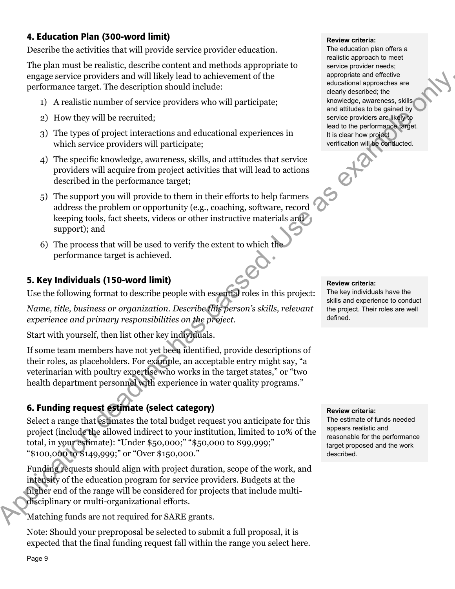#### 4. Education Plan (300-word limit)

Describe the activities that will provide service provider education.

The plan must be realistic, describe content and methods appropriate to engage service providers and will likely lead to achievement of the performance target. The description should include:

- 1) A realistic number of service providers who will participate;
- 2) How they will be recruited;
- 3) The types of project interactions and educational experiences in which service providers will participate;
- 4) The specific knowledge, awareness, skills, and attitudes that service providers will acquire from project activities that will lead to actions described in the performance target;
- 5) The support you will provide to them in their efforts to help farmers address the problem or opportunity (e.g., coaching, software, record keeping tools, fact sheets, videos or other instructive materials and support); and
- 6) The process that will be used to verify the extent to which the performance target is achieved.

#### 5. Key Individuals (150-word limit)

Use the following format to describe people with essential roles in this project:

*Name, title, business or organization. Describe this person's skills, relevant experience and primary responsibilities on the project.* 

Start with yourself, then list other key individuals.

If some team members have not yet been identified, provide descriptions of their roles, as placeholders. For example, an acceptable entry might say, "a veterinarian with poultry expertise who works in the target states," or "two health department personnel with experience in water quality programs." engus extreme provides and will likely lead to achieve<br>the method and the street provides and the street provides are considered.<br>
(assumes a secondary of the street provides who will participate:<br>
(a) A realistic number

#### 6. Funding request estimate (select category)

Select a range that estimates the total budget request you anticipate for this project (include the allowed indirect to your institution, limited to 10% of the total, in your estimate): "Under \$50,000;" "\$50,000 to \$99,999;" "\$100,000 to \$149,999;" or "Over \$150,000."

Funding requests should align with project duration, scope of the work, and intensity of the education program for service providers. Budgets at the higher end of the range will be considered for projects that include multidisciplinary or multi-organizational efforts.

Matching funds are not required for SARE grants.

Note: Should your preproposal be selected to submit a full proposal, it is expected that the final funding request fall within the range you select here.

#### **Review criteria:**

The education plan offers a realistic approach to meet service provider needs; appropriate and effective educational approaches are clearly described; the knowledge, awareness, skills and attitudes to be gained by service providers are likely to lead to the performance target. It is clear how project verification will be conducted.

#### **Review criteria:**

The key individuals have the skills and experience to conduct the project. Their roles are well defined.

#### **Review criteria:**

The estimate of funds needed appears realistic and reasonable for the performance target proposed and the work described.